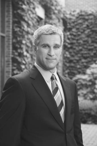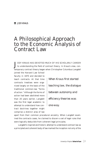# A Philosophical Approach to the Economic Analysis of Contract Law

JODY KRAUS HAS DEVOTED MUCH OF HIS SCHOLARLY CAREER<br>to understanding the field of contract theory. In Kraus's view, con-ODY KRAUS HAS DEVOTED MUCH OF HIS SCHOLARLY CAREER temporary contract theory began when Christopher Columbus Langdell

joined the Harvard Law School faculty in 1870 and decided to teach contracts. At that time contracts treatises were organized largely on the basis of the traditional common-law "forms of action." Although the forms of action had been abolished more than 20 years earlier, Langdell was the first legal academic to attempt to understand how contract doctrines together might comprise a distinct area of law

*When Kraus first started teaching law, the dialogue between autonomy and effi ciency theories was one-way.*

apart from their common procedural ancestry. When Langdell examined the contracts cases, he claimed to discern a set of legal rules that were logically deducible from coherent legal principles.

Langdell's inspired and historic attempt to understand contract law as a principled and coherent body of law marked the inception not only of the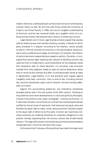modern American understanding of contract doctrine but of contemporary contract theory as well. By the time Jody Kraus joined the University of Virginia Law School faculty in 1990, the core of Langdell's understanding of American contract law remained viable, but Langdell's vision of a unifying contract theory had endured half a century of withering criticism.

Legal Realists and Critical Legal Studies scholars argued that express judicial reasoning was mere window dressing, causally irrelevant to which party prevailed in a dispute. According to the Realists, results actually turned on informal commercial practices or the psychological idiosyncrasies or policy preferences of judges. According to CLS scholars, the rhetoric of judicial decisions masked decisions based on politics. Pluralists, in turn, argued that express legal reasoning was relevant to deciding common-law cases but that no single theory could comprehend all the disparate values that necessarily bear on those decisions. For pluralists, case outcomes resulted from wise judgment, based on years of judicial experience, about how to reconcile the multiple and often incommensurable values at stake in adjudication. Legal Realism, CLS, and pluralism each argued, against Langdell's most basic conviction, that no area of law, including contract law, could be rationalized under a set of coherent, let alone morally defensible, principles.

Against this accumulating skepticism, two theoretical movements emerged side-by-side in the last quarter of the 20th century. Building on long traditions and recent developments in moral and political philosophy, Charles Fried wrote his now classic monograph, "Contract as Promise." In Fried's view, the basic core of American contract law could be explained and justified by the principle of autonomy: that everyone has equal value and therefore an equal right to make, revise, and pursue their life plans subject to the equal right of others to do the same. Contract law maximizes individual autonomy by enabling individuals to undertake obligations to one another, thereby expanding their life choices, without fear of detrimental reliance. The legal enforcement of promises ensures that promise-breakers compensate their victims for the harm they cause.

At the same time Fried was unifying contract law under the single moral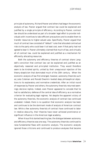principle of autonomy, Richard Posner and others had begun the economic analysis of law. Posner argued that contract law could be explained and justified by a single principle of efficiency. According to Posner, contract law should be understood as part of a broader legal effort to provide individuals with incentives to take efficient precautions and to enable them to transfer resources to higher-valued uses. Specifically, Posner argued that much of contract law consisted of "default" rules that allocated contractual risks to the party who could bear it at least cost, even if that party had not agreed to bear it. Posner ultimately claimed that much of law, and virtually all of contract law, could be explained and justified as a mechanism for efficiently allocating resources.

Both the autonomy and efficiency theories of contract share Langdell's conviction that contract law can be explained and justified as an objectively reasoned and principled institution. They would therefore seem to be kindred spirits, united by their unequivocal rejection of the theory-skepticism that dominated much of the 20th century. When the economic analysis of law first emerged, however, autonomy theorists such as Jules Coleman and Ronald Dworkin leveled deep philosophical objections to its explanatory and normative credentials. After an initial round of responses by Posner and others, the autonomy theorists returned seemingly decisive replies. Indeed, even Posner appeared to concede that he had no satisfactory defense of the central idea of efficiency as a normative criterion for evaluating legal regimes. Yet despite the apparent victory of the autonomy theorists, the economic analysis of contract law continued unabated. Indeed, there is no question that economic analysis has been and continues to be the dominant mode of analysis of American contract law. While a few autonomy theorists of contract have continued to labor in relative obscurity, their theories have never achieved prominence or significant influence in the American legal academy.

When Kraus first started teaching law, the dialogue between autonomy and efficiency theories was one-way. The autonomy theorists continued to raise fundamental flaws with economic analysis. The economic analysts ignored those criticisms and continued to produce analyses that became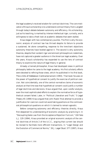the legal academy's received wisdom for contract doctrines. The core motivation of Kraus's scholarship is to understand contract theory from Langdell through today's debate between autonomy and efficiency. His scholarship, just as his teaching, is marked by intense intellectual rigor, curiosity, and a willingness to take a fresh look at academic debates that seem stalled.

Kraus began with two contemporary puzzles. The first is why the economic analysis of contract law has thrived despite its failure to provide a sustained, let alone compelling, response to the trenchant objections autonomy theorists have leveled against it. The second is why autonomy theories, despite their evident rigor and eminent philosophical credentials, have not captured a greater audience in the American legal academy. Over the years, Kraus's scholarship has expanded to use the lens of contract theory to examine the nature of legal theory in general.

Already a trained philosopher, Kraus had developed views in political philosophy before he came to the legal academy. His first scholarly efforts were devoted to refining those views, which he published in his first book, *The Limits of Hobbesian Contractarianism* (1993). That book focuses on the power of hypothetical consent to justify the exercise of political coercion. Not coincidentally, one of the central normative claims of economic analysis at that time was that hypothetical consent could justify a number of legal doctrines and decisions. Kraus argued that, upon careful analysis, even the most sophisticated efforts to explain the normative force of hypothetical consent failed. Later, in "Political Liberalism and Truth," 5 *Legal Theory* 45 (1999) Kraus argued that John Rawls' final attempt to provide a justification for coercion could not avoid taking positions on the controversial philosophical questions on which it claimed to remain agnostic.

Before comparing autonomy and efficiency theories directly, Kraus first deepened his understanding of economic analysis by practicing it. In "Decoupling Sales Law from the Acceptance-Rejection Fulcrum," 104 *Yale L.J.* 129 (1994), Kraus provided an original economic analysis of the central doctrines of Article 2 of the U.C.C., arguing that current law should be revised to facilitate more efficient transactions. In "Legal Design and the Evolution of Commercial Norms," 26 *J. Legal Stud.* 377 (1997), Kraus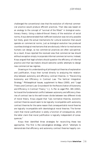challenged the conventional view that the evolution of informal commercial practice would produce efficient practices. That idea was based on an analogy to the concept of "survival of the fittest" in biological evolutionary theory. Using a state-of-the-art theory of the evolution of social norms, Kraus demonstrated that inefficient evolution was not only possible but likely, given the actual mechanisms for cultural evolution that would operate on commercial norms. Just as biological evolution has produced countless biological mechanisms that are obviously inferior to mechanisms humans can design, so too commercial practices are often sub-optimal. As a result, Kraus rejected the received view that commercial law should without exception simply incorporate informal commercial norms. Instead, Kraus argued that legal scholars should question the efficiency of informal practice and that law-makers should welcome careful attempts to design new commercial law regimes.

Drawing on his understanding of philosophical theories of explanation and justification, Kraus then turned directly to analyzing the relationship between autonomy and efficiency contract theories. In "Reconciling Autonomy and Efficiency in Contract Law: The Vertical Integration Strategy," *Philosophical Issues*, supplement to *Nous* (2000), and "Legal Theory and Contract Law: Groundwork for the Reconciliation of Autonomy and Efficiency in Contract Theory," 1 *J. S. Pol. & Legal Phil.* 385 (2002), he traced the fundamental conflict between autonomy and efficiency theories of contract law to the well-known divide between two different kinds of moral theory. Kraus argued that "[a]s normative theories, economic contract theories would seem to be logically incompatible with autonomy contract theories for the same reason that consequentialist moral theories are logically incompatible with deontological moral theories: The former claim that moral justification is solely a function of consequences, while the latter claim that moral justification is logically independent of consequences."

Kraus then identified three strategies for reconciling these two approaches. The first is *the convergence strategy*, which "attempts to demonstrate that efficiency and autonomy contract theories happily con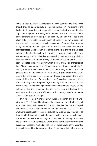verge in their normative assessment of most contract doctrines, even though they do so on logically incompatible grounds." The second is *the horizontal independence strategy*, which reconciles both kinds of theories "by construing them as making either different kinds of claims or claims about different kinds of things." For example, autonomy theories might claim only to evaluate the justification of contract law, while economic theories might claim only to explain the content of contract law. Alternatively, autonomy theories might claim to explain the express reasoning in contracts cases, while economic theories might claim only to explain case outcomes. Finally, *the vertical integration strategy* reconciles efficiency and autonomy contract theories by construing them as logically distinct elements within one unified theory. Ultimately, Kraus supports a vertically integrated contract theory in which there is a "division of theoretical labor" between autonomy and efficiency principles. Kraus argues that efficiency theories should play the role of providing fine-grained, institutional prescriptions for the resolution of hard cases, in part because the vagueness of key moral concepts in autonomy theory often disable them from accomplishing that task. On the other hand, Kraus claims autonomy theories should play the role of providing the moral justification of contract law because they are rooted in a philosophically credible moral theory. Unlike autonomy theories, economic theories derive their justificatory force entirely from the principle of efficiency, which long ago was discredited as a free-standing moral principle.

In "Philosophy of Contract Law," Jules L. Coleman and Scott Shapiro, eds., *The Oxford Handbook of Jurisprudence and Philosophy of Law* (Oxford University Press, 2002), Kraus identified four methodological commitments that divide and define contract theories. The first issue is whether express judicial reasoning should be viewed as legal theories or as legal data for theories to explain. Economists offer theories to explain outcomes and pay less attention to judicial explanation, while philosophers focus on the reasoning offered by judges as the starting point for their own accounts. The second methodological issue is the relative priority accorded to explaining and justifying contract law. Kraus claims that "[t]he primary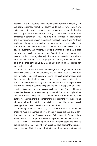goal of deontic theories is to demonstrate that contract law is a morally and politically legitimate institution, rather than to explain how contract law determines outcomes in particular cases. In contrast, economic theories are principally concerned with explaining how contract law determines outcomes in particular cases." The third methodological issue is whether the theory aspires to explain the distinctiveness of contract law. As Kraus explains, philosophers are much more concerned about what makes contract law distinct than are economists. The fourth methodological issue dividing autonomy and efficiency theories is whether they take an *ex post* or *ex ante* perspective on adjudication. Deontic theories take an ex post perspective because they view adjudication as an occasion to resolve a dispute by vindicating pre-existing rights. In contrast, economic theorists take an ex ante perspective by viewing adjudication as an occasion for prospective regulation.

Kraus concludes that these four differing methodological commitments effectively demonstrate that autonomy and efficiency theories of contract are not really competing theories. Since their conceptions of what contract law is (express doctrinal statements versus outcomes), what contract theories should do (explain versus justify contract law, explain or explain away the distinctiveness of contract law), and the object of adjudication (retrospective dispute resolution versus prospective regulation) are so different, these theories cannot be meaningfully compared. Thus, for example, when efficiency theories analyze the doctrine of consideration differently than autonomy theories, there is no meaningful disagreement over the doctrine of consideration. Instead, the real debate is the over the methodological presuppositions to which each theory is committed.

Building on his previous views, Kraus then turned to the autonomy theorists' most trenchant criticism of efficiency-based explanations of contract and tort law. In "Transparency and Determinacy in Common Law Adjudication: A Philosophical Defense of Explanatory Economic Analysis,"

\_\_ *Va. L. Rev.* \_\_ (forthcoming 2007), Kraus defends economic analysis against the claim that it fails what philosophers have labeled "the transparency criterion." That criterion holds that a legal theory's explanation must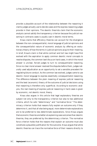provide a plausible account of the relationship between the reasoning it claims judges actually use to decide cases and the express reasoning judges provide in their opinions. The deontic theorists claim that the economic analysis cannot satisfy the transparency criterion because the judicial reasoning in contracts cases is usually cast in deontic moral terms.

Kraus claims that efficiency theories can account for the divergence between the non-consequentialist, moral language of judicial opinions and the consequentialist nature of economic analysis by offering an evolutionary theory of how the terms in judicial opinions acquire their meaning. In brief, Kraus's claim is that while contract and tort law might have first evolved with the aspiration to apply common deontic moral concepts to resolve disputes, the common law's focus on hard cases, in which the moral answer is unclear, forced judges to turn to consequentialist reasoning. Since no clear moral answer resolved the disputes before them, judges naturally used adjudication as an opportunity to set a sensible precedent for regulating future conduct. As the common law evolved, judges came to use deontic moral language to express essentially consequentialist reasoning. The difference between the plain meaning of express judicial reasoning and the best (economic) theory of the outcome of judicial decisions using that reasoning is therefore only superficial. According to economic analysis, the real meaning of express judicial reasoning in hard cases is given by economic, not deontic moral, theory.

Kraus also argues in this article that legal explanatory theories are subject not only to the transparency criterion but also to two additional criteria, which he calls "determinacy" and "normative force." The determinacy criterion holds that reasons fully explain an outcome only if they determine it, and that all else being equal, more determinate explanations are to be preferred to less determinate explanations. Since Kraus argues that economic theories are better at explaining case outcomes than deontic theories, they are preferred by the determinacy criterion. The normative force criterion holds that the reasons that explain an outcome must also constitute a plausible justification for the outcome. Kraus argues that while deontic theories can trace the normative force of their reasons directly to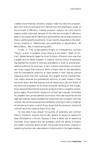JODY KRAUS

credible moral theories, economic analysis need not make the unsustainable claim that its normative force derives from the justificatory power of the principle of efficiency. Instead, economic analysis can claim that its reasons justify outcomes because of the role the principle of efficiency plays in the overall set of institutions sanctioned by the normative political theory justifying political authority. Kraus recently expanded on the determinacy criterion in "Determinacy and Justification in Adjudication," 48 *Wm & Mary L. Rev.* 4 (forthcoming 2007).

Finally, in "The Jurisprudential Origins of Contemporary Contract Theory," a work in progress, Kraus returns to the classic "death of contract" debate famously begun by Grant Gilmore. Gilmore's claim was that Langdell and his fellow travelers in classical contract theory fraudulently represented the content of contracts precedents in order to provide precedential authority for what was, in fact, a wholly novel theory of contract law. Kraus argues that Gilmore's entire critique rests on the assumption that the precedential authority of cases resides in their express judicial reasoning rather than their outcomes. Yet Langdell and the classical theorists clearly believed the precedential authority of cases resides in their outcomes alone, and that express judicial reasoning is just one theory of the doctrinal precedent set by those outcomes. Building on that insight, Kraus demonstrates that the economic analysis of law is Langdell's contemporary legacy. The economic analysis of contract law is equally committed to Langdell's twin jurisprudential convictions: that case outcomes are the legal data express reasoning seeks but sometimes fails to explain and that contract law can be explained and justified by unifying it under a single set of coherent principles. In short, Kraus shows that the economic analysis of contract law is the classical theory of our day.

So how does Kraus answer the puzzles of autonomy and contract theory? Economic analysis has thrived, despite its failure to respond to deep philosophical criticism, because it does a better job of explaining outcomes. Since lawyers and law professors prize the ability to explain and predict outcomes above all else, the success of economic analysis in explaining common-law cases explains its dominance in the legal academy.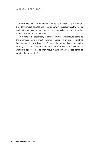That also explains why autonomy theories have failed to gain traction. Despite their sophisticated and superior normative credentials, they fail to explain the outcomes in hard cases and so are perceived to be of little value in the classroom or the courtroom.

Ultimately, the best theory of contract law will, Kraus argues, combine the insights and virtues of both theories to produce a unified account that both explains and justifies much of contract law. Given his training in philosophy and his mastery of economic analysis, as well as his openness to what each approach has to offer, Kraus himself is uniquely positioned to provide that account.  $*$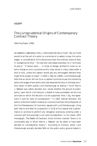### EXCERPT

# The Jurisprudential Origins of Contemporary Contract Theory

(Working Paper, 2006)

IN *HARRIS V. WATSON* (1791), LORD KENYON HELD THAT "NO ACTION would lie at the suit of a sailor on a promise of a captain to pay him extra wages, in consideration of his doing more than the ordinary share of duty in navigating the ship."1 His decision was based expressly on a "principle of policy:" "if sailors were … in times of danger entitled to insist on an extra charge on such a promise as this, they would in many cases suffer a ship to sink, unless the captain would pay any extravagant demand they might think proper to make." In *Stilk v. Myrick* (1809), Lord Ellenborough held that an action did not lie on a captain's promise to pay the remaining sailors the wages of two sailors who had deserted the ship in a foreign port.<sup>2</sup> One report of *Stilk* quotes Lord Ellenborough as stating "I think *Harris v. Watson* was rightly decided, but I doubt whether the ground of public policy, upon which Lord Kenyon is stated to have proceeded, be the true principle on which the decision is to be supported. Here, I say, the agreement is void for want of consideration."3 In 1920, Samuel Williston, the author of the first modern treatise on contracts and then-future Reporter of the First Restatement of Contracts, agreed with Lord Ellenborough, citing both *Harris* and *Stilk* for proposition in §130 of his treatise that a performance or promise to perform any obligation previously existing under a contract with the promisee is not valid consideration.4 In his classic 1974 monograph, *The Death of Contract*, Grant Gilmore claimed "there is no conceivable way in which *Harris v. Watson* can be taken to have been decided on consideration theory."5 According to Gilmore, either Lord Ellenborough actually decided *Stilk* on the public policy ground stated in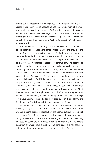*Harris* but his reasoning was misreported, or he intentionally misinterpreted the ruling in *Harris* because he was "an owner's man all the way who would use any theory, however far-fetched– even 'want of consideration'– to strike down seamen's wage claims."6 As to why Williston cited *Harris* and *Stilk* as authority for Restatement §130, Gilmore remained agnostic between the possibilities of "deliberate deception" and "unconscious distortion."7

An "owner's man all the way," "deliberate deception," and "unconscious distortion?" Those were fightin' words in 1974 and they still are today. Gilmore was taking aim at Williston's efforts to marshal cases as precedential authority for the "bargain theory of consideration," which together with the objective theory of intent comprised the doctrinal core of the 19th century classical conception of contract law. The doctrine of consideration holds that promises are not legally enforceable unless supported by consideration. The bargain theory, famously championed by Oliver Wendell Holmes,<sup>8</sup> defines consideration as a performance or return promise that is "bargained for," and states that a performance or return promise is bargained for if it is "sought by the promisor in exchange for his promise and ... given by the promisee in exchange for that promise."<sup>9</sup> Gilmore claimed that Langdell single-handedly "launched the idea that there was—or should be—such a thing as a general theory of contract," that Holmes created the "broad philosophical outline" of that theory, and that Williston fraudulently legitimated the theory in the "meticulous, although not always accurate, scholarly detail" of case law.10 *Stilk* and *Harris* are Exhibits A and B in Gilmore's brief to expose Williston's fraud.

Gilmore's specific claim is that Holmes and Williston<sup>11</sup> committed fraud by citing cases for doctrinal propositions that were unsupported by, and in some cases contradicted by, the express judicial reasoning of those cases. Once Gilmore purports to demonstrate the gap or inconsistency between the classical theorists' reading and the express reasoning of a case, he concludes the classical theorists engaged in either deliberate deception or unconscious distortion. The conclusion is a non-sequitur. Gilmore's critique presupposes that an interpretation of a case is proper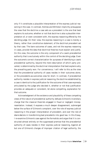only if it constitutes a plausible interpretation of the express judicial reasoning in the case. In contrast, Holmes and Williston implicitly presuppose the view that the doctrine a case sets as a precedent is the one that best explains its outcome, whether or not that doctrine is also a plausible interpretation of, or even consistent with, the express reasoning offered by the deciding judge. On their view, the express reasoning in a case is merely a theory, rather than constitutive statement, of the doctrinal precedent set by that case. The bare outcomes of cases, and not the express reasoning in cases, provide the data that doctrinal theories must explain and justify. On this view, the outcome is the only component of a case's precedential authority that is exclusively within the control of the deciding judge. Even the outcome's correct characterization for purposes of identifying a case's precedential authority, beyond the mere description of which party prevailed, is determined by the doctrinal interpretation that best explains why the prevailing party won. For convenience, I will refer to this as the view that the precedential authority of cases resides in their outcomes alone, or the precedents-as-outcomes view for short. In contrast, if precedential authority resides in express judicial reasoning, the doctrine established by a case is identical to the justification for the outcome of that case expressly articulated by the judge who decided it, whether or not that justification provides an adequate or consistent, let alone compelling, explanation for that outcome.

Acknowledgment of the existence and plausibility of these competing views of the nature of precedential authority defuses Gilmore's incendiary charge that the classical theorists engaged in fraud or negligent misrepresentation. Instead, it exposes a much deeper disagreement, submerged below the surface of Gilmore's complaint, over the role of express judicial reasoning in the proper interpretation of precedent, and over the role of *stare decisis* in transforming bad precedents into good law. In this Essay, I re-examine Gilmore's case against the formalists and argue that it is constructed almost entirely on the suppressed premise that the precedential authority of cases resides in their express judicial reasoning. Against all but one of Gilmore's charges of improper citation of legal authority, the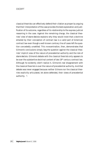classical theorists can effectively defend their citation as proper by arguing that their interpretation of the case provides the best explanation and justification of its outcome, regardless of its relationship to the express judicial reasoning in the case. Against the remaining charge, the classical theorists' view of *stare decisis* explains why they would insist that a doctrine entailed by their conception of contract law is a valid part of American contract law even though a well-known contrary line of cases left the question concededly unsettled. This re-examination, then, demonstrates that Gilmore's conclusions simply beg the question against the classical theorists' implicit view of the nature of precedential authority and the role of *stare decisis*. Gilmore's debate with the classical theorists only appears to be over the substantive doctrinal content of late 19<sup>th</sup> century contract law. Although he evidently didn't realize it, Gilmore's real disagreement with the classical theorists is over the nature of precedential authority. And that debate was never engaged because neither Gilmore nor the classical theorists explicitly articulated, let alone defended, their views of precedential authority.  $\,$   $\,$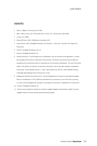## ENDNOTES

- 1 *Harris v. Watson*, 170 Eng. Rep. 94 (1791).
- 2 *Stilk v. Myrik*, 6 Esp. 129, 170 Eng. Rep. 851; 2 Camp. 317, 170 Eng. Rep. 1168 (1809).
- 3 2 Camp. 317 (1809).
- 4 Samuel Williston, 1920, 1 *Williston on Contracts*, §130.
- 5 Grant Gilmore, 1995, *The Death of Contract*, 29. Ronald K.L. Collins ed., Columbus: Ohio State Univ. Press 2d ed.
- 6 Gilmore, *The Death of Contract*, 30 n.57.
- 7 Gilmore, *The Death of Contract*, 30.
- 8 Holmes wrote that "it is of the essence of a consideration, that, by the terms of the agreement, it is given and accepted as the motive or inducement of the promise. Conversely, the promise must be made and accepted as the conventional motive or inducement for furnishing the consideration. The root of the whole matter is the relation of reciprocal conventional inducement, each for the other, between consideration and promise." Oliver Wendell Holmes, Jr., 1963, *The Common Law*, 293-41-2. Mark DeWolfe Howe ed., Cambridge, Mass: Belknap Press of Harvard Univ. Press.
- 9 Restatement (Second) of Contracts §71(1). The first Restatement of Contracts incorporated the bargain theory of consideration in §75 by defining consideration for a promise as "an act other than a promise ... or a return promise bargained for and given in exchange for the promise." Restatement of Contracts §75.
- 10 Gilmore, *The Death of Contract*, 15.
- 11 Gilmore never provides an example of a case that Langdell allegedly misinterpreted. Instead, he claims Langdell's theory of contract simply lacked sufficient precedent.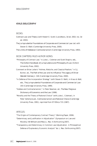### KRAUS BIBLIOGRAPHY

#### BOOKS:

- *Contract Law and Theory* (with Robert E. Scott) (LexisNexis, 3d ed. 2002; rev. 3d ed. 2003).
- *The Jurisprudential Foundations of Corporate and Commercial Law* (ed. with Steven D. Walt) (Cambridge University Press, 2000).
- *The Limits of Hobbesian Contractarianism* (Cambridge University Press, 1993).

### BOOK CHAPTERS/MULTI-AUTHOR WORKS:

- "Philosophy of Contract Law," in Jules L. Coleman and Scott Shapiro, eds., *The Oxford Handbook of Jurisprudence and Philosophy of Law* (Oxford University Press, 2002).
- Comment on Brian Leiter's "Holmes, Nietzche, and Classical Realism," in S.J. Burton, ed., *The Path of the Law and its Influence: The Legacy of Oliver Wendell Holmes Jr.* 326 (Cambridge University Press, 2000).
- "In Defense of the Incorporation Strategy" (with Steven D. Walt), in Kraus & Walt, eds., *The Jurisprudential Foundations of Corporate and Commercial Law* 193 (Cambridge University Press, 1999).
- "Hobbes and Contractarianism," in Peter Newman, ed., *The New Palgrave Dictionary of Economics and the Law* (1998).
- "Morality and the Theory of Rational Choice" (with Jules L. Coleman), in Peter Vallentyne,ed., *Contractarianism and Rational Choice* (Cambridge University Press, 1991), reprinted from 97 *Ethics* 715 (1987).

#### ARTICLES:

"The Origins of Contemporary Contract Theory" (Working Paper, 2006).

- "Determinacy and Justification in Adjudication" (Symposium on Law and Morality) 48 *William and Mary L. Rev.* 4 (forthcoming 2007).
- "Transparency and Determinacy in Common Law Adjudication: A Philosophical Defense of Explanatory Economic Analysis" *Va. L. Rev.* (forthcoming 2007).